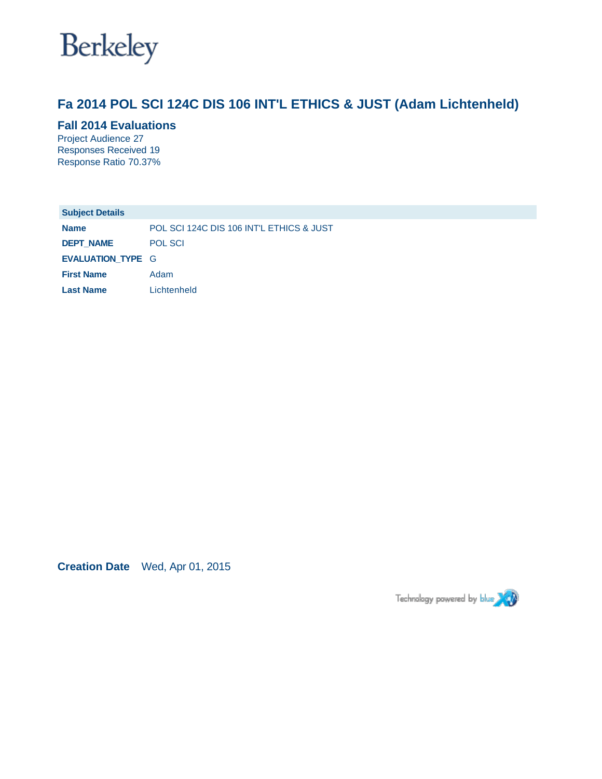

# **Fa 2014 POL SCI 124C DIS 106 INT'L ETHICS & JUST (Adam Lichtenheld)**

### **Fall 2014 Evaluations**

Project Audience 27 Responses Received 19 Response Ratio 70.37%

| <b>Subject Details</b>   |                                          |
|--------------------------|------------------------------------------|
| <b>Name</b>              | POL SCI 124C DIS 106 INT'L ETHICS & JUST |
| <b>DEPT NAME</b>         | <b>POL SCI</b>                           |
| <b>EVALUATION TYPE G</b> |                                          |
| <b>First Name</b>        | Adam                                     |
| <b>Last Name</b>         | Lichtenheld                              |

**Creation Date** Wed, Apr 01, 2015

Technology powered by blue XXX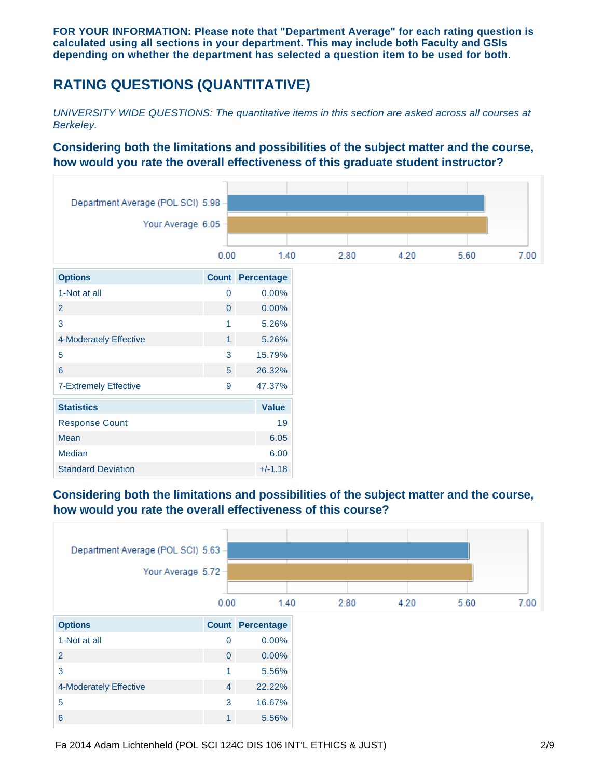**FOR YOUR INFORMATION: Please note that "Department Average" for each rating question is calculated using all sections in your department. This may include both Faculty and GSIs depending on whether the department has selected a question item to be used for both.**

# **RATING QUESTIONS (QUANTITATIVE)**

*UNIVERSITY WIDE QUESTIONS: The quantitative items in this section are asked across all courses at Berkeley.*

### **Considering both the limitations and possibilities of the subject matter and the course, how would you rate the overall effectiveness of this graduate student instructor?**



# **Considering both the limitations and possibilities of the subject matter and the course, how would you rate the overall effectiveness of this course?**

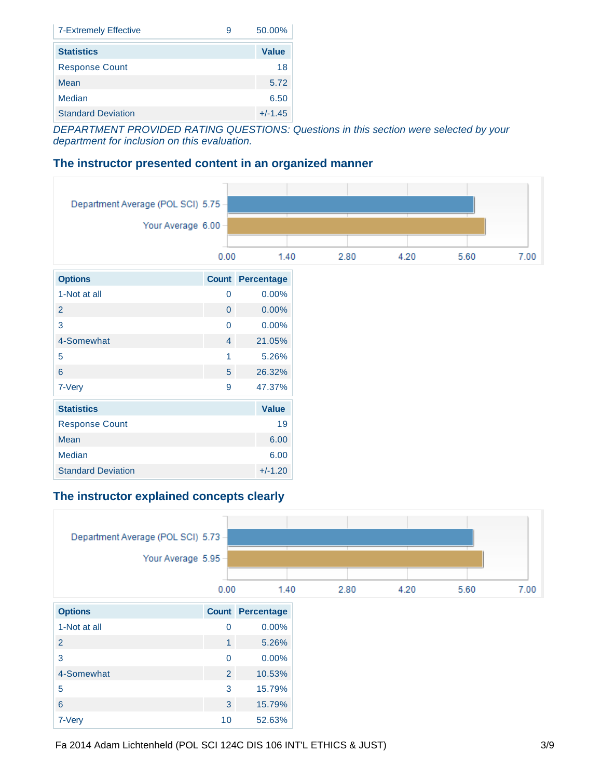| <b>7-Extremely Effective</b><br>9 | 50.00%       |
|-----------------------------------|--------------|
| <b>Statistics</b>                 | <b>Value</b> |
| <b>Response Count</b>             | 18           |
| Mean                              | 5.72         |
| Median                            | 6.50         |
| <b>Standard Deviation</b>         | $+/-1.45$    |

*DEPARTMENT PROVIDED RATING QUESTIONS: Questions in this section were selected by your department for inclusion on this evaluation.*

### **The instructor presented content in an organized manner**

| Department Average (POL SCI) 5.75 - |                     |                         |
|-------------------------------------|---------------------|-------------------------|
|                                     | Your Average 6.00 - |                         |
|                                     | 0.00                | 1.40                    |
| <b>Options</b>                      |                     | <b>Count Percentage</b> |
| 1-Not at all                        | $\mathbf 0$         | 0.00%                   |
| $\overline{2}$                      | $\overline{0}$      | 0.00%                   |
| 3                                   | $\mathbf 0$         | 0.00%                   |
| 4-Somewhat                          | $\overline{4}$      | 21.05%                  |
| 5                                   | $\mathbf{1}$        | 5.26%                   |
| $6\phantom{a}$                      | 5 <sup>5</sup>      | 26.32%                  |
| 7-Very                              | $\overline{9}$      | 47.37%                  |
| <b>Statistics</b>                   |                     | <b>Value</b>            |
| <b>Response Count</b>               |                     | 19                      |
| Mean                                |                     | 6.00                    |
| Median                              |                     | 6.00                    |
| <b>Standard Deviation</b>           |                     | $+/-1.20$               |

### **The instructor explained concepts clearly**

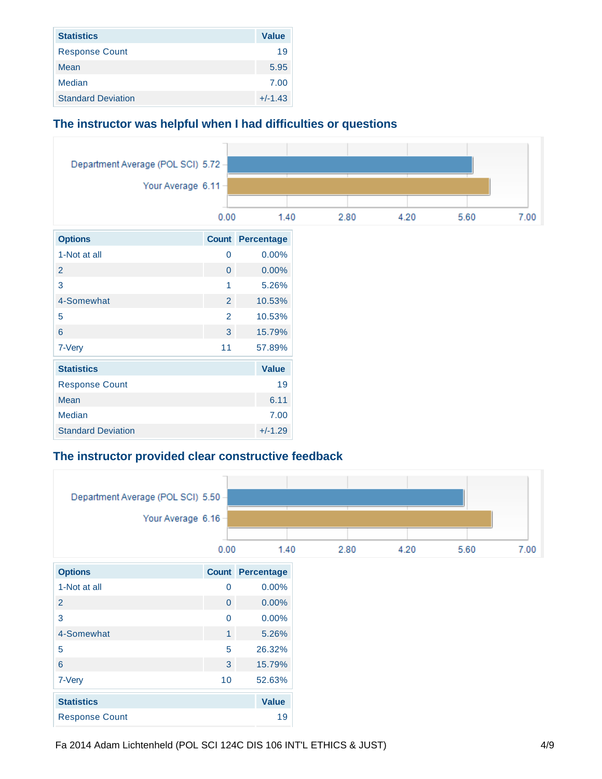| <b>Statistics</b>         | <b>Value</b> |
|---------------------------|--------------|
| <b>Response Count</b>     | 19           |
| Mean                      | 5.95         |
| Median                    | 7.00         |
| <b>Standard Deviation</b> | $+/-1.43$    |

### **The instructor was helpful when I had difficulties or questions**



### **The instructor provided clear constructive feedback**

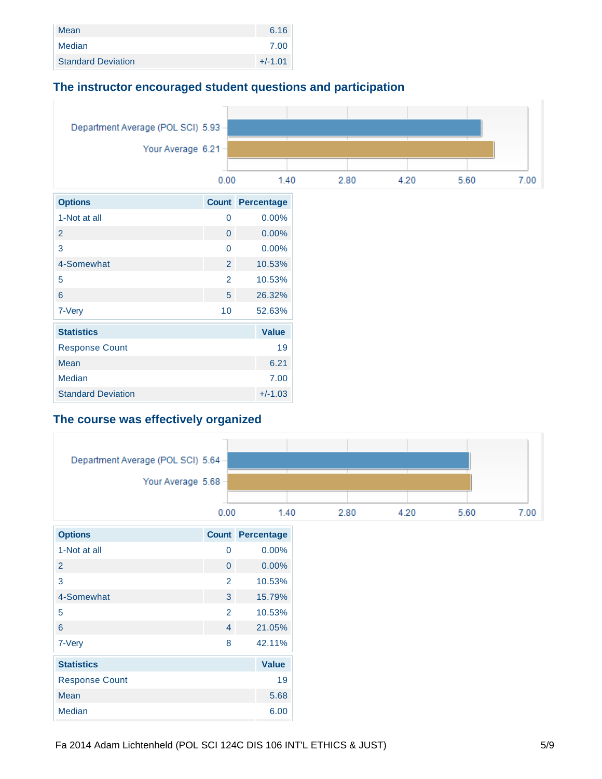| Mean                      | 6.16      |
|---------------------------|-----------|
| Median                    | 7.00      |
| <b>Standard Deviation</b> | $+/-1.01$ |

### **The instructor encouraged student questions and participation**



# **The course was effectively organized**

|                       | Department Average (POL SCI) 5.64 - |                         |
|-----------------------|-------------------------------------|-------------------------|
|                       | Your Average 5.68 -                 |                         |
|                       |                                     |                         |
|                       | 0.00                                | 1.40                    |
| <b>Options</b>        |                                     | <b>Count Percentage</b> |
| 1-Not at all          | $\overline{0}$                      | 0.00%                   |
| $\overline{2}$        | $\overline{0}$                      | $0.00\%$                |
| 3                     | $\overline{2}$                      | 10.53%                  |
| 4-Somewhat            | 3 <sup>1</sup>                      | 15.79%                  |
| 5                     | $\overline{2}$                      | 10.53%                  |
| $6\phantom{a}$        | $\overline{4}$                      | 21.05%                  |
| 7-Very                | 8                                   | 42.11%                  |
| <b>Statistics</b>     |                                     | <b>Value</b>            |
| <b>Response Count</b> |                                     | 19                      |
| Mean                  |                                     | 5.68                    |
| Median                |                                     | 6.00                    |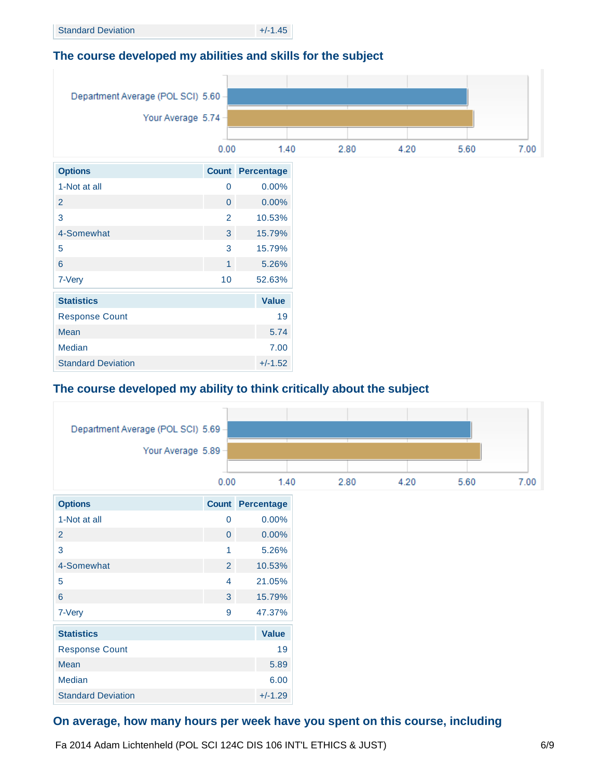# **The course developed my abilities and skills for the subject**



# **The course developed my ability to think critically about the subject**



# **On average, how many hours per week have you spent on this course, including**

Fa 2014 Adam Lichtenheld (POL SCI 124C DIS 106 INT'L ETHICS & JUST)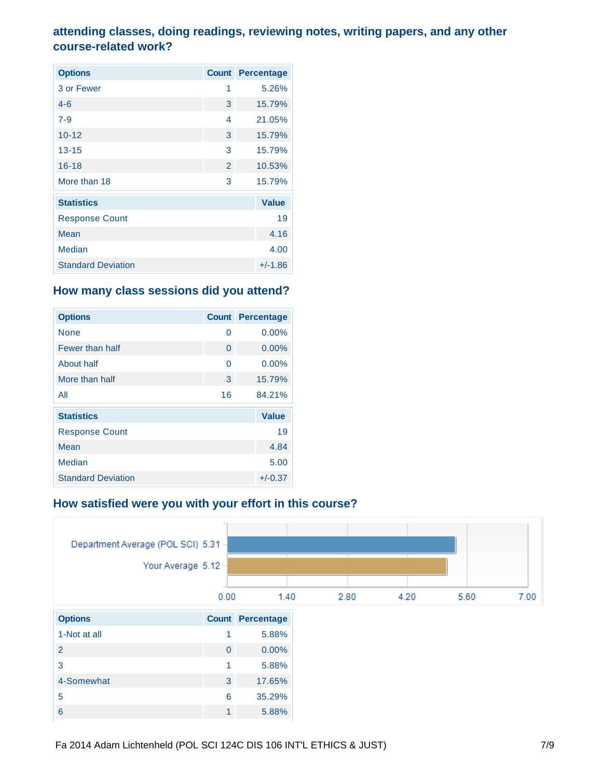# **attending classes, doing readings, reviewing notes, writing papers, and any other course-related work?**

| <b>Options</b>            | <b>Count</b>  | Percentage   |
|---------------------------|---------------|--------------|
| 3 or Fewer                | 1             | 5.26%        |
| $4 - 6$                   | 3             | 15.79%       |
| $7 - 9$                   | 4             | 21.05%       |
| $10 - 12$                 | 3             | 15.79%       |
| $13 - 15$                 | 3             | 15.79%       |
| $16 - 18$                 | $\mathcal{P}$ | 10.53%       |
| More than 18              | 3             | 15.79%       |
| <b>Statistics</b>         |               | <b>Value</b> |
| <b>Response Count</b>     |               | 19           |
| Mean                      |               | 4.16         |
| Median                    |               | 4.00         |
| <b>Standard Deviation</b> |               | $+/-1.86$    |

## **How many class sessions did you attend?**

| <b>Options</b>            | <b>Count</b> | <b>Percentage</b> |
|---------------------------|--------------|-------------------|
| None                      | 0            | 0.00%             |
| Fewer than half           | 0            | 0.00%             |
| About half                | 0            | 0.00%             |
| More than half            | 3            | 15.79%            |
| All                       | 16           | 84.21%            |
| <b>Statistics</b>         |              | <b>Value</b>      |
| <b>Response Count</b>     |              | 19                |
| Mean                      |              | 4.84              |
| Median                    |              | 5.00              |
| <b>Standard Deviation</b> |              | $+/-0.37$         |

# **How satisfied were you with your effort in this course?**

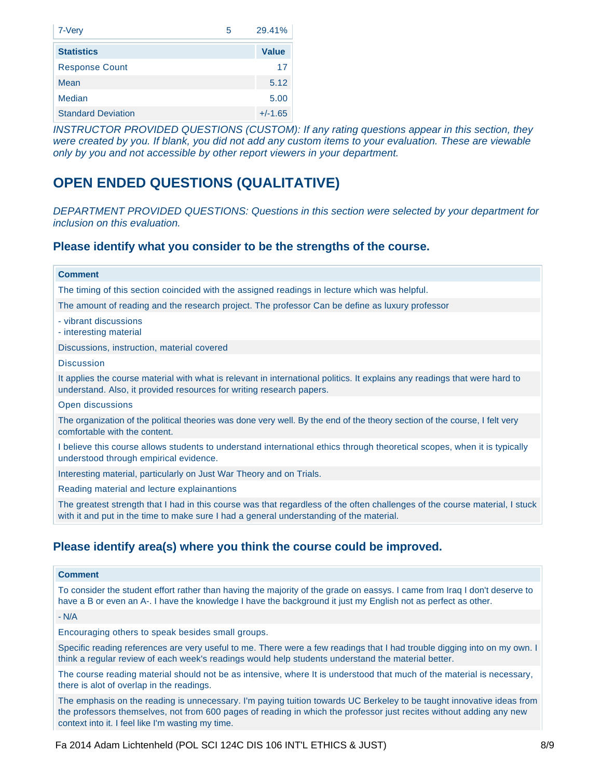| 7-Very                    | 29.41%<br>5  |
|---------------------------|--------------|
| <b>Statistics</b>         | <b>Value</b> |
| <b>Response Count</b>     | 17           |
| Mean                      | 5.12         |
| Median                    | 5.00         |
| <b>Standard Deviation</b> | $+/-1.65$    |

*INSTRUCTOR PROVIDED QUESTIONS (CUSTOM): If any rating questions appear in this section, they were created by you. If blank, you did not add any custom items to your evaluation. These are viewable only by you and not accessible by other report viewers in your department.*

# **OPEN ENDED QUESTIONS (QUALITATIVE)**

*DEPARTMENT PROVIDED QUESTIONS: Questions in this section were selected by your department for inclusion on this evaluation.*

### **Please identify what you consider to be the strengths of the course.**

| <b>Comment</b>                                                                                                                                                                                                         |
|------------------------------------------------------------------------------------------------------------------------------------------------------------------------------------------------------------------------|
| The timing of this section coincided with the assigned readings in lecture which was helpful.                                                                                                                          |
| The amount of reading and the research project. The professor Can be define as luxury professor                                                                                                                        |
| - vibrant discussions<br>- interesting material                                                                                                                                                                        |
| Discussions, instruction, material covered                                                                                                                                                                             |
| <b>Discussion</b>                                                                                                                                                                                                      |
| It applies the course material with what is relevant in international politics. It explains any readings that were hard to<br>understand. Also, it provided resources for writing research papers.                     |
| Open discussions                                                                                                                                                                                                       |
| The organization of the political theories was done very well. By the end of the theory section of the course, I felt very<br>comfortable with the content.                                                            |
| I believe this course allows students to understand international ethics through theoretical scopes, when it is typically<br>understood through empirical evidence.                                                    |
| Interesting material, particularly on Just War Theory and on Trials.                                                                                                                                                   |
| Reading material and lecture explainantions                                                                                                                                                                            |
| The greatest strength that I had in this course was that regardless of the often challenges of the course material, I stuck<br>with it and put in the time to make sure I had a general understanding of the material. |

#### **Comment**

To consider the student effort rather than having the majority of the grade on eassys. I came from Iraq I don't deserve to have a B or even an A-. I have the knowledge I have the background it just my English not as perfect as other.

- N/A

Encouraging others to speak besides small groups.

Specific reading references are very useful to me. There were a few readings that I had trouble digging into on my own. I think a regular review of each week's readings would help students understand the material better.

The course reading material should not be as intensive, where It is understood that much of the material is necessary, there is alot of overlap in the readings.

The emphasis on the reading is unnecessary. I'm paying tuition towards UC Berkeley to be taught innovative ideas from the professors themselves, not from 600 pages of reading in which the professor just recites without adding any new context into it. I feel like I'm wasting my time.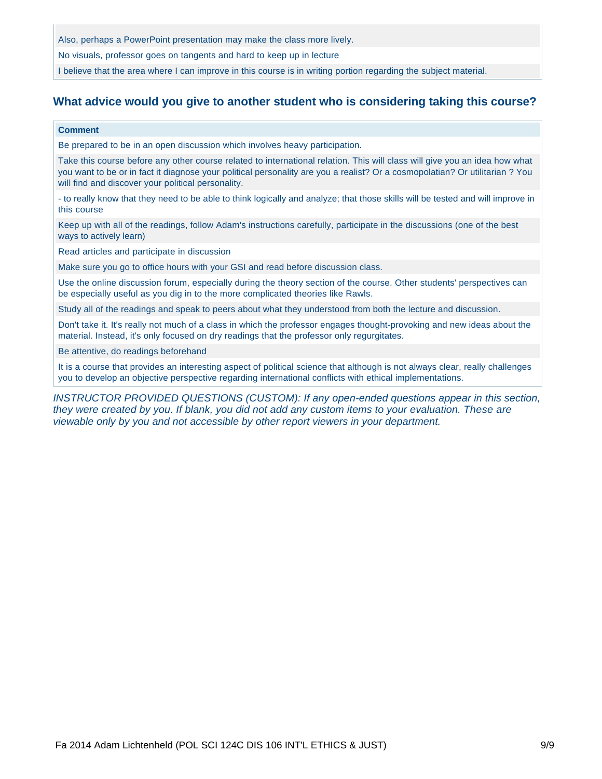Also, perhaps a PowerPoint presentation may make the class more lively.

No visuals, professor goes on tangents and hard to keep up in lecture

I believe that the area where I can improve in this course is in writing portion regarding the subject material.

### **What advice would you give to another student who is considering taking this course?**

#### **Comment**

Be prepared to be in an open discussion which involves heavy participation.

Take this course before any other course related to international relation. This will class will give you an idea how what you want to be or in fact it diagnose your political personality are you a realist? Or a cosmopolatian? Or utilitarian ? You will find and discover your political personality.

- to really know that they need to be able to think logically and analyze; that those skills will be tested and will improve in this course

Keep up with all of the readings, follow Adam's instructions carefully, participate in the discussions (one of the best ways to actively learn)

Read articles and participate in discussion

Make sure you go to office hours with your GSI and read before discussion class.

Use the online discussion forum, especially during the theory section of the course. Other students' perspectives can be especially useful as you dig in to the more complicated theories like Rawls.

Study all of the readings and speak to peers about what they understood from both the lecture and discussion.

Don't take it. It's really not much of a class in which the professor engages thought-provoking and new ideas about the material. Instead, it's only focused on dry readings that the professor only regurgitates.

Be attentive, do readings beforehand

It is a course that provides an interesting aspect of political science that although is not always clear, really challenges you to develop an objective perspective regarding international conflicts with ethical implementations.

*INSTRUCTOR PROVIDED QUESTIONS (CUSTOM): If any open-ended questions appear in this section, they were created by you. If blank, you did not add any custom items to your evaluation. These are viewable only by you and not accessible by other report viewers in your department.*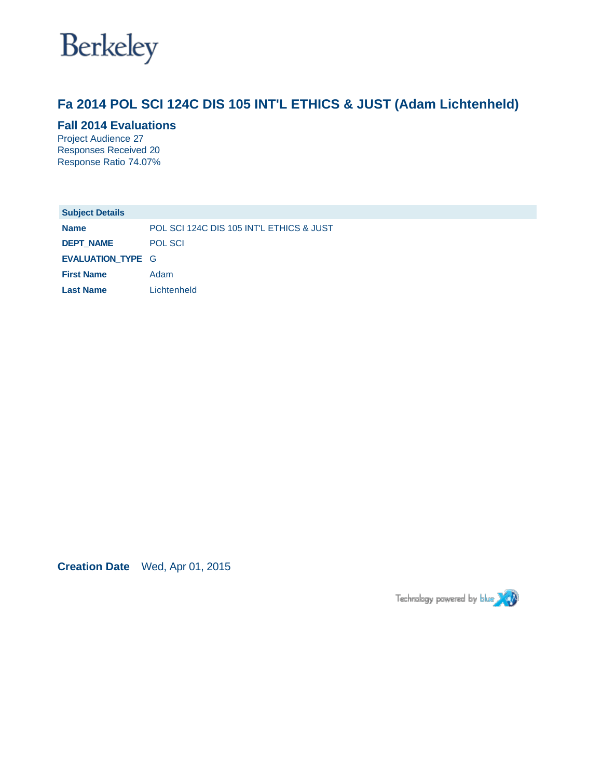

# **Fa 2014 POL SCI 124C DIS 105 INT'L ETHICS & JUST (Adam Lichtenheld)**

### **Fall 2014 Evaluations**

Project Audience 27 Responses Received 20 Response Ratio 74.07%

| <b>Subject Details</b>   |                                          |
|--------------------------|------------------------------------------|
| <b>Name</b>              | POL SCI 124C DIS 105 INT'L ETHICS & JUST |
| <b>DEPT NAME</b>         | <b>POL SCI</b>                           |
| <b>EVALUATION TYPE G</b> |                                          |
| <b>First Name</b>        | Adam                                     |
| <b>Last Name</b>         | Lichtenheld                              |

**Creation Date** Wed, Apr 01, 2015

Technology powered by blue XXX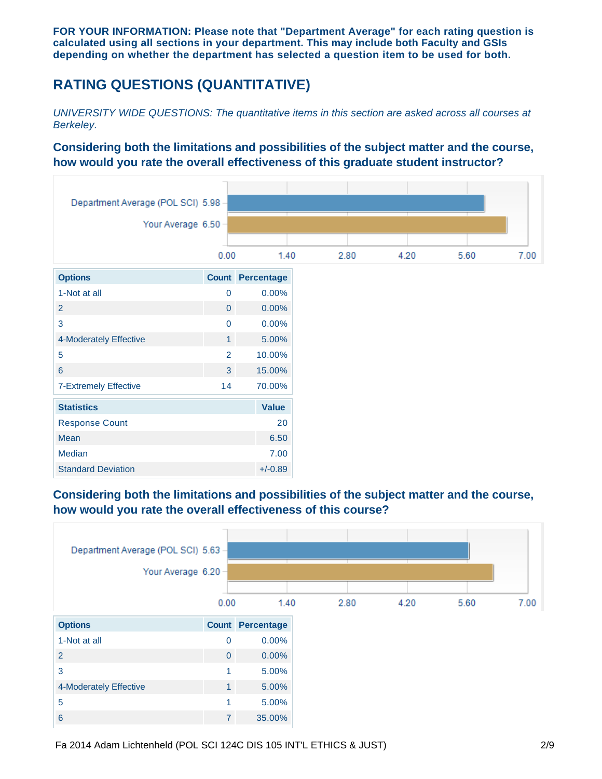**FOR YOUR INFORMATION: Please note that "Department Average" for each rating question is calculated using all sections in your department. This may include both Faculty and GSIs depending on whether the department has selected a question item to be used for both.**

# **RATING QUESTIONS (QUANTITATIVE)**

*UNIVERSITY WIDE QUESTIONS: The quantitative items in this section are asked across all courses at Berkeley.*

### **Considering both the limitations and possibilities of the subject matter and the course, how would you rate the overall effectiveness of this graduate student instructor?**



# **Considering both the limitations and possibilities of the subject matter and the course, how would you rate the overall effectiveness of this course?**

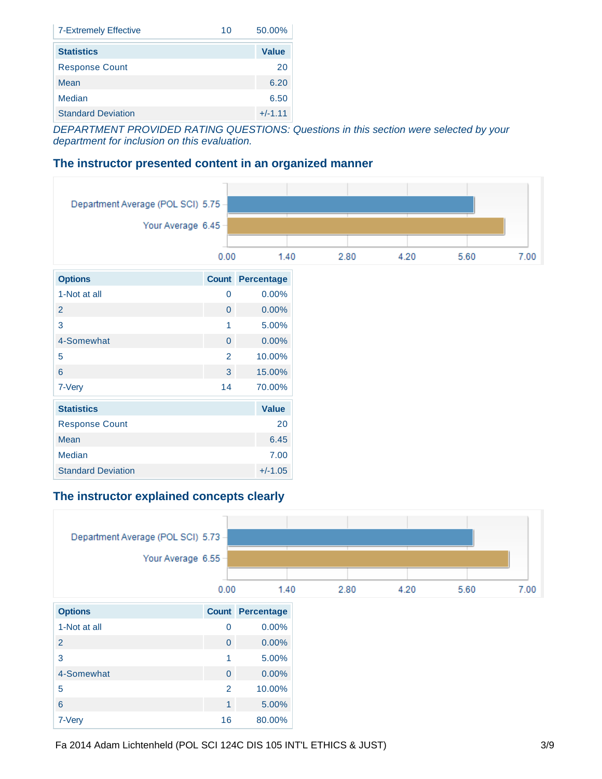| <b>7-Extremely Effective</b><br>10 | 50.00%       |
|------------------------------------|--------------|
| <b>Statistics</b>                  | <b>Value</b> |
| <b>Response Count</b>              | 20           |
| Mean                               | 6.20         |
| Median                             | 6.50         |
| <b>Standard Deviation</b>          | $+/-1.11$    |

*DEPARTMENT PROVIDED RATING QUESTIONS: Questions in this section were selected by your department for inclusion on this evaluation.*

### **The instructor presented content in an organized manner**



### **The instructor explained concepts clearly**

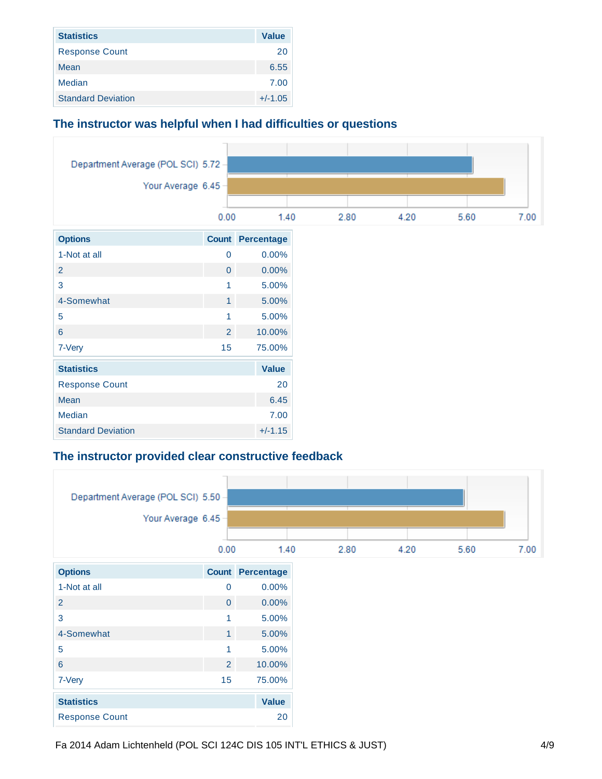| <b>Statistics</b>         | <b>Value</b> |
|---------------------------|--------------|
| <b>Response Count</b>     | 20           |
| Mean                      | 6.55         |
| Median                    | 7.00         |
| <b>Standard Deviation</b> | $+/-1.05$    |

### **The instructor was helpful when I had difficulties or questions**



### **The instructor provided clear constructive feedback**

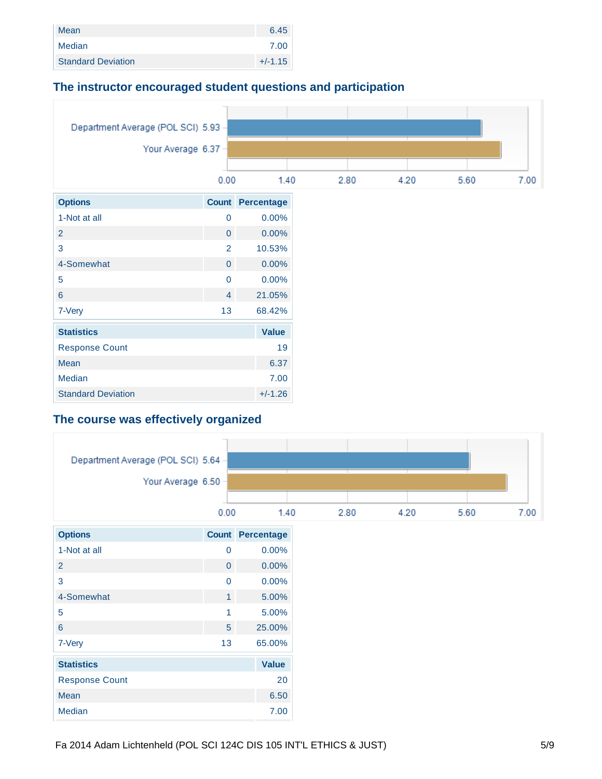| Mean                      | 6.45      |
|---------------------------|-----------|
| Median                    | 7.00      |
| <b>Standard Deviation</b> | $+/-1.15$ |

### **The instructor encouraged student questions and participation**



# **The course was effectively organized**

| Department Average (POL SCI) 5.64 - |                |                         |      |      |      |  |
|-------------------------------------|----------------|-------------------------|------|------|------|--|
| Your Average 6.50 -                 |                |                         |      |      |      |  |
|                                     |                |                         |      |      |      |  |
|                                     | 0.00           | 1.40                    | 2.80 | 4.20 | 5.60 |  |
| <b>Options</b>                      |                | <b>Count Percentage</b> |      |      |      |  |
| 1-Not at all                        | $\mathbf 0$    | 0.00%                   |      |      |      |  |
| $\overline{2}$                      | $\overline{0}$ | $0.00\%$                |      |      |      |  |
| 3                                   | $\mathbf 0$    | 0.00%                   |      |      |      |  |
| 4-Somewhat                          | $\mathbf{1}$   | 5.00%                   |      |      |      |  |
| 5                                   | $\mathbf{1}$   | 5.00%                   |      |      |      |  |
| $6\phantom{a}$                      | 5 <sup>5</sup> | 25.00%                  |      |      |      |  |
| 7-Very                              | 13             | 65.00%                  |      |      |      |  |
| <b>Statistics</b>                   |                | <b>Value</b>            |      |      |      |  |
| <b>Response Count</b>               |                | 20                      |      |      |      |  |
| Mean                                |                | 6.50                    |      |      |      |  |
| Median                              |                | 7.00                    |      |      |      |  |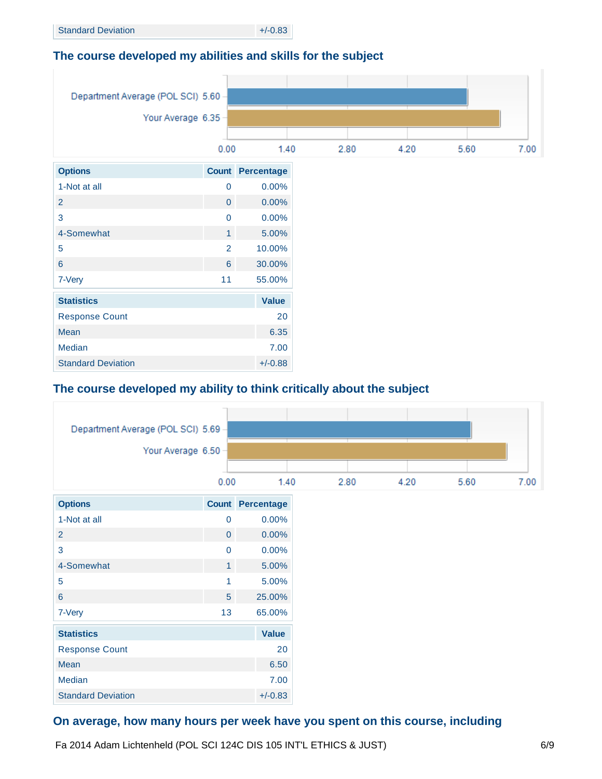# **The course developed my abilities and skills for the subject**



# **The course developed my ability to think critically about the subject**



# **On average, how many hours per week have you spent on this course, including**

Fa 2014 Adam Lichtenheld (POL SCI 124C DIS 105 INT'L ETHICS & JUST)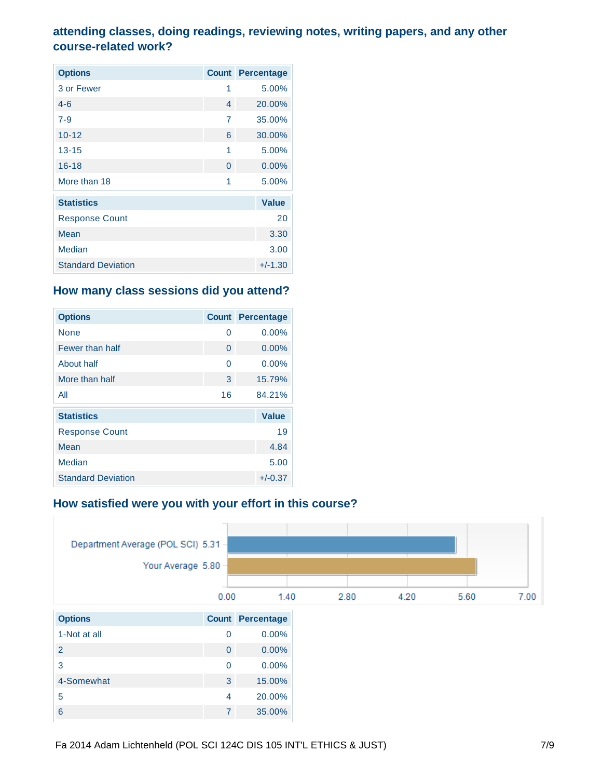# **attending classes, doing readings, reviewing notes, writing papers, and any other course-related work?**

| <b>Options</b>            | <b>Count</b>   | Percentage   |
|---------------------------|----------------|--------------|
| 3 or Fewer                | 1              | 5.00%        |
| $4 - 6$                   | $\overline{4}$ | 20.00%       |
| $7 - 9$                   | 7              | 35.00%       |
| $10 - 12$                 | 6              | 30.00%       |
| $13 - 15$                 | 1              | 5.00%        |
| $16 - 18$                 | $\overline{0}$ | $0.00\%$     |
| More than 18              | 1              | 5.00%        |
| <b>Statistics</b>         |                | <b>Value</b> |
| <b>Response Count</b>     |                | 20           |
| Mean                      |                | 3.30         |
| <b>Median</b>             |                | 3.00         |
| <b>Standard Deviation</b> |                | $+/-1.30$    |

## **How many class sessions did you attend?**

| <b>Options</b>            | <b>Count</b> | <b>Percentage</b> |
|---------------------------|--------------|-------------------|
| None                      | 0            | 0.00%             |
| Fewer than half           | $\Omega$     | 0.00%             |
| About half                | 0            | 0.00%             |
| More than half            | 3            | 15.79%            |
| All                       | 16           | 84.21%            |
| <b>Statistics</b>         |              | <b>Value</b>      |
| <b>Response Count</b>     |              | 19                |
| Mean                      |              | 4.84              |
| Median                    |              | 5.00              |
| <b>Standard Deviation</b> |              | $+/-0.37$         |

# **How satisfied were you with your effort in this course?**

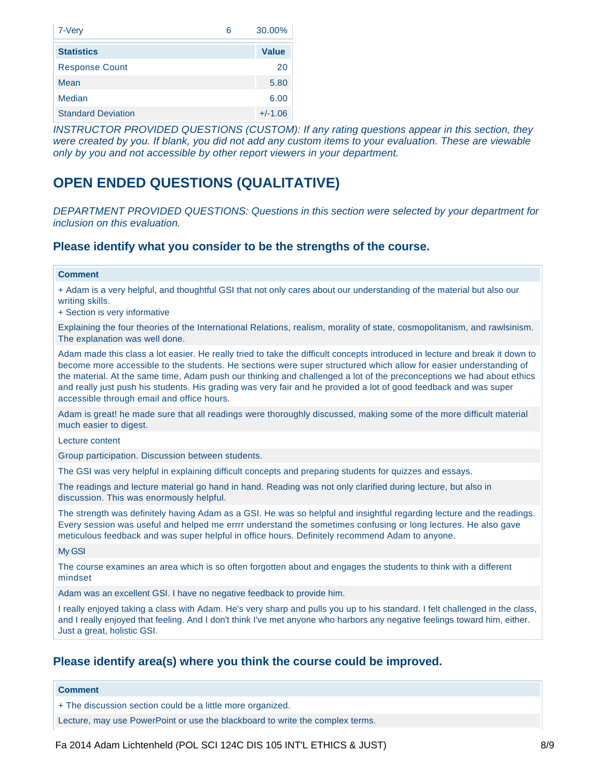| 7-Very<br>6               | 30.00%       |
|---------------------------|--------------|
| <b>Statistics</b>         | <b>Value</b> |
| <b>Response Count</b>     | 20           |
| Mean                      | 5.80         |
| Median                    | 6.00         |
| <b>Standard Deviation</b> | $+/-1.06$    |

*INSTRUCTOR PROVIDED QUESTIONS (CUSTOM): If any rating questions appear in this section, they were created by you. If blank, you did not add any custom items to your evaluation. These are viewable only by you and not accessible by other report viewers in your department.*

# **OPEN ENDED QUESTIONS (QUALITATIVE)**

*DEPARTMENT PROVIDED QUESTIONS: Questions in this section were selected by your department for inclusion on this evaluation.*

### **Please identify what you consider to be the strengths of the course.**

#### **Comment**

+ Adam is a very helpful, and thoughtful GSI that not only cares about our understanding of the material but also our writing skills.

+ Section is very informative

Explaining the four theories of the International Relations, realism, morality of state, cosmopolitanism, and rawlsinism. The explanation was well done.

Adam made this class a lot easier. He really tried to take the difficult concepts introduced in lecture and break it down to become more accessible to the students. He sections were super structured which allow for easier understanding of the material. At the same time, Adam push our thinking and challenged a lot of the preconceptions we had about ethics and really just push his students. His grading was very fair and he provided a lot of good feedback and was super accessible through email and office hours.

Adam is great! he made sure that all readings were thoroughly discussed, making some of the more difficult material much easier to digest.

Lecture content

Group participation. Discussion between students.

The GSI was very helpful in explaining difficult concepts and preparing students for quizzes and essays.

The readings and lecture material go hand in hand. Reading was not only clarified during lecture, but also in discussion. This was enormously helpful.

The strength was definitely having Adam as a GSI. He was so helpful and insightful regarding lecture and the readings. Every session was useful and helped me errrr understand the sometimes confusing or long lectures. He also gave meticulous feedback and was super helpful in office hours. Definitely recommend Adam to anyone.

My GSI

The course examines an area which is so often forgotten about and engages the students to think with a different mindset

Adam was an excellent GSI. I have no negative feedback to provide him.

I really enjoyed taking a class with Adam. He's very sharp and pulls you up to his standard. I felt challenged in the class, and I really enjoyed that feeling. And I don't think I've met anyone who harbors any negative feelings toward him, either. Just a great, holistic GSI.

### **Please identify area(s) where you think the course could be improved.**

**Comment**

+ The discussion section could be a little more organized.

Lecture, may use PowerPoint or use the blackboard to write the complex terms.

Fa 2014 Adam Lichtenheld (POL SCI 124C DIS 105 INT'L ETHICS & JUST)